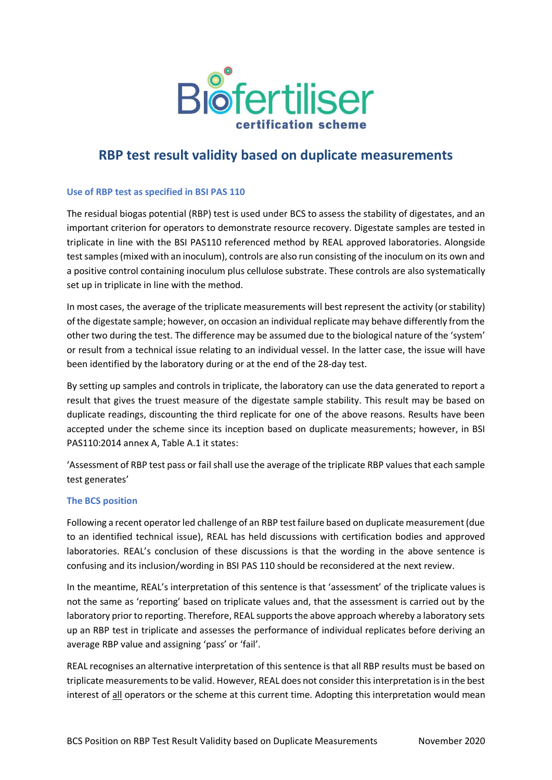

## **RBP test result validity based on duplicate measurements**

## **Use of RBP test as specified in BSI PAS 110**

The residual biogas potential (RBP) test is used under BCS to assess the stability of digestates, and an important criterion for operators to demonstrate resource recovery. Digestate samples are tested in triplicate in line with the BSI PAS110 referenced method by REAL approved laboratories. Alongside test samples (mixed with an inoculum), controls are also run consisting of the inoculum on its own and a positive control containing inoculum plus cellulose substrate. These controls are also systematically set up in triplicate in line with the method.

In most cases, the average of the triplicate measurements will best represent the activity (or stability) of the digestate sample; however, on occasion an individual replicate may behave differently from the other two during the test. The difference may be assumed due to the biological nature of the 'system' or result from a technical issue relating to an individual vessel. In the latter case, the issue will have been identified by the laboratory during or at the end of the 28-day test.

By setting up samples and controls in triplicate, the laboratory can use the data generated to report a result that gives the truest measure of the digestate sample stability. This result may be based on duplicate readings, discounting the third replicate for one of the above reasons. Results have been accepted under the scheme since its inception based on duplicate measurements; however, in BSI PAS110:2014 annex A, Table A.1 it states:

'Assessment of RBP test pass or fail shall use the average of the triplicate RBP values that each sample test generates'

## **The BCS position**

Following a recent operator led challenge of an RBP test failure based on duplicate measurement (due to an identified technical issue), REAL has held discussions with certification bodies and approved laboratories. REAL's conclusion of these discussions is that the wording in the above sentence is confusing and its inclusion/wording in BSI PAS 110 should be reconsidered at the next review.

In the meantime, REAL's interpretation of this sentence is that 'assessment' of the triplicate values is not the same as 'reporting' based on triplicate values and, that the assessment is carried out by the laboratory prior to reporting. Therefore, REAL supports the above approach whereby a laboratory sets up an RBP test in triplicate and assesses the performance of individual replicates before deriving an average RBP value and assigning 'pass' or 'fail'.

REAL recognises an alternative interpretation of this sentence is that all RBP results must be based on triplicate measurementsto be valid. However, REAL does not consider this interpretation is in the best interest of all operators or the scheme at this current time. Adopting this interpretation would mean